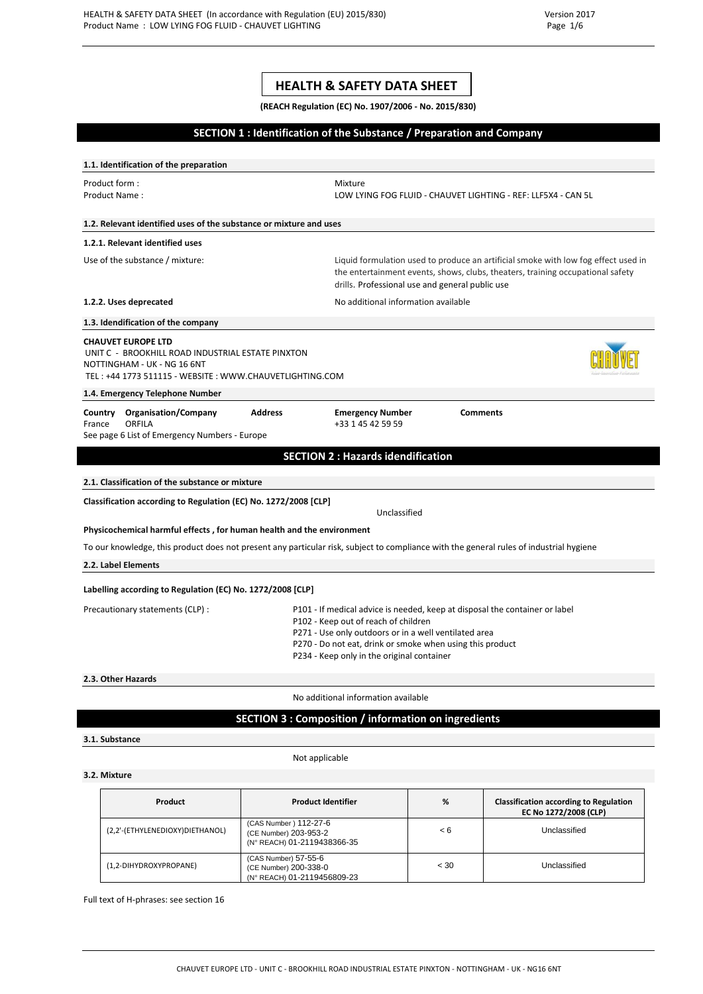# **HEALTH & SAFETY DATA SHEET**

**(REACH Regulation (EC) No. 1907/2006 - No. 2015/830)**

### **SECTION 1 : Identification of the Substance / Preparation and Company**

**1.1. Identification of the preparation**  Product form : The Mixture of the Mixture of the Mixture of the Mixture of the Mixture of the Mixture of the Mixture of the Mixture of the Mixture of the Mixture of the Mixture of the Mixture of the Mixture of the Mixture Product Name : LOW LYING FOG FLUID - CHAUVET LIGHTING - REF: LLF5X4 - CAN 5L **1.2. Relevant identified uses of the substance or mixture and uses 1.2.1. Relevant identified uses** Use of the substance / mixture: Liquid formulation used to produce an artificial smoke with low fog effect used in the entertainment events, shows, clubs, theaters, training occupational safety drills. Professional use and general public use **1.2.2. Uses deprecated 1.2.2. Uses deprecated No additional information available 1.3. Idendification of the company CHAUVET EUROPE LTD**  UNIT C - BROOKHILL ROAD INDUSTRIAL ESTATE PINXTON NOTTINGHAM - UK - NG 16 6NT TEL : +44 1773 511115 - WEBSITE : WWW.CHAUVETLIGHTING.COM **1.4. Emergency Telephone Number Country Organisation/Company Address Emergency Number Comments**<br>France ORFILA **Example 1989 Example 1458 Example 1458 Example 1458 Example 1458 Comments** France ORFILA +33 1 45 42 59 59 See page 6 List of Emergency Numbers - Europe **SECTION 2 : Hazards idendification 2.1. Classification of the substance or mixture Classification according to Regulation (EC) No. 1272/2008 [CLP]** Unclassified **Physicochemical harmful effects , for human health and the environment** To our knowledge, this product does not present any particular risk, subject to compliance with the general rules of industrial hygiene **2.2. Label Elements Labelling according to Regulation (EC) No. 1272/2008 [CLP]** Precautionary statements (CLP) : P101 - If medical advice is needed, keep at disposal the container or label P102 - Keep out of reach of children P271 - Use only outdoors or in a well ventilated area P270 - Do not eat, drink or smoke when using this product P234 - Keep only in the original container **2.3. Other Hazards** No additional information available **SECTION 3 : Composition / information on ingredients 3.1. Substance** 

#### Not applicable

#### **3.2. Mixture**

| Product                         | <b>Product Identifier</b>                                                     | %    | <b>Classification according to Regulation</b><br>EC No 1272/2008 (CLP) |
|---------------------------------|-------------------------------------------------------------------------------|------|------------------------------------------------------------------------|
| (2,2'-(ETHYLENEDIOXY)DIETHANOL) | (CAS Number) 112-27-6<br>(CE Number) 203-953-2<br>(N° REACH) 01-2119438366-35 | < 6  | Unclassified                                                           |
| (1,2-DIHYDROXYPROPANE)          | (CAS Number) 57-55-6<br>(CE Number) 200-338-0<br>(N° REACH) 01-2119456809-23  | < 30 | Unclassified                                                           |

Full text of H-phrases: see section 16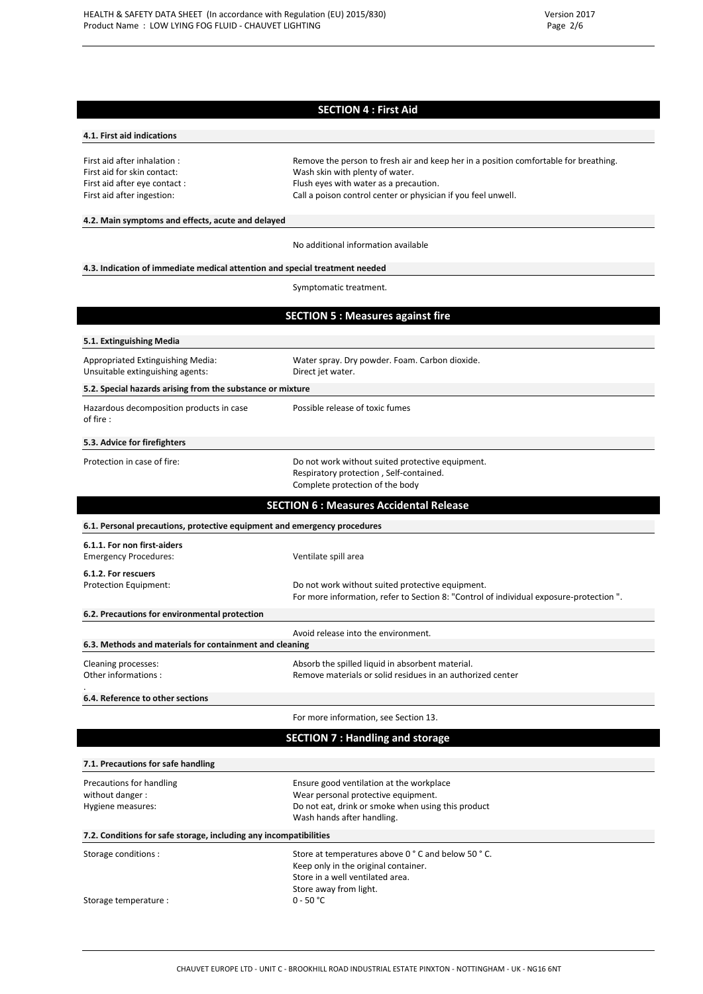## **SECTION 4 : First Aid**

#### **4.1. First aid indications**

First aid after inhalation : Remove the person to fresh air and keep her in a position comfortable for breathing. First aid for skin contact: Wash skin with plenty of water. First aid after eye contact : Flush eyes with water as a precaution. First aid after ingestion: Call a poison control center or physician if you feel unwell.

## **4.2. Main symptoms and effects, acute and delayed**

No additional information available

#### **4.3. Indication of immediate medical attention and special treatment needed**

Storage temperature : 0 - 50 °C

Symptomatic treatment.

## **SECTION 5 : Measures against fire**

| 5.1. Extinguishing Media                                                 |                                                                                                                                                                     |
|--------------------------------------------------------------------------|---------------------------------------------------------------------------------------------------------------------------------------------------------------------|
| Appropriated Extinguishing Media:<br>Unsuitable extinguishing agents:    | Water spray. Dry powder. Foam. Carbon dioxide.<br>Direct jet water.                                                                                                 |
| 5.2. Special hazards arising from the substance or mixture               |                                                                                                                                                                     |
| Hazardous decomposition products in case<br>of fire :                    | Possible release of toxic fumes                                                                                                                                     |
| 5.3. Advice for firefighters                                             |                                                                                                                                                                     |
| Protection in case of fire:                                              | Do not work without suited protective equipment.<br>Respiratory protection, Self-contained.<br>Complete protection of the body                                      |
|                                                                          | <b>SECTION 6 : Measures Accidental Release</b>                                                                                                                      |
| 6.1. Personal precautions, protective equipment and emergency procedures |                                                                                                                                                                     |
| 6.1.1. For non first-aiders<br><b>Emergency Procedures:</b>              | Ventilate spill area                                                                                                                                                |
| 6.1.2. For rescuers<br>Protection Equipment:                             | Do not work without suited protective equipment.<br>For more information, refer to Section 8: "Control of individual exposure-protection".                          |
| 6.2. Precautions for environmental protection                            |                                                                                                                                                                     |
| 6.3. Methods and materials for containment and cleaning                  | Avoid release into the environment.                                                                                                                                 |
| Cleaning processes:<br>Other informations:                               | Absorb the spilled liquid in absorbent material.<br>Remove materials or solid residues in an authorized center                                                      |
| 6.4. Reference to other sections                                         |                                                                                                                                                                     |
|                                                                          | For more information, see Section 13.                                                                                                                               |
|                                                                          | <b>SECTION 7: Handling and storage</b>                                                                                                                              |
| 7.1. Precautions for safe handling                                       |                                                                                                                                                                     |
| Precautions for handling<br>without danger :<br>Hygiene measures:        | Ensure good ventilation at the workplace<br>Wear personal protective equipment.<br>Do not eat, drink or smoke when using this product<br>Wash hands after handling. |
| 7.2. Conditions for safe storage, including any incompatibilities        |                                                                                                                                                                     |
| Storage conditions:                                                      | Store at temperatures above 0 ° C and below 50 ° C.                                                                                                                 |

Keep only in the original container. Store in a well ventilated area. Store away from light.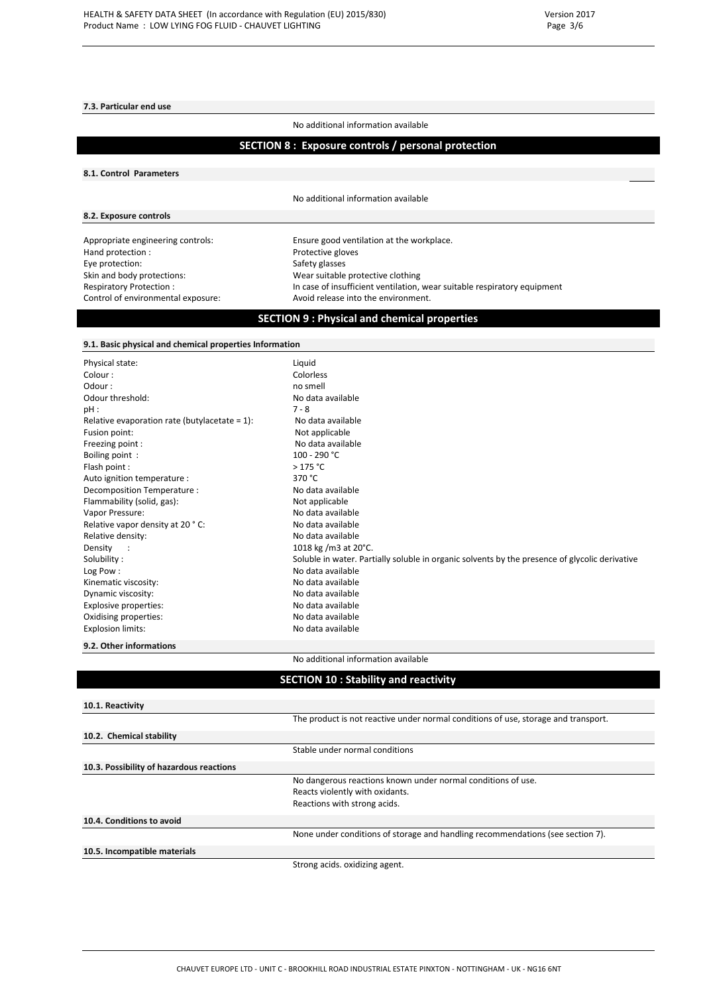#### **7.3. Particular end use**

No additional information available

## **SECTION 8 : Exposure controls / personal protection**

#### **8.1. Control Parameters**

**8.2. Exposure controls**

No additional information available

 $H$ and protection : Eye protection: Safety glasses

Appropriate engineering controls: Ensure good ventilation at the workplace.<br>
Hand protection: Protective gloves Skin and body protections: Wear suitable protective clothing Respiratory Protection : In case of insufficient ventilation, wear suitable respiratory equipment<br>Control of environmental exposure: Avoid release into the environment. Avoid release into the environment.

## **SECTION 9 : Physical and chemical properties**

### **9.1. Basic physical and chemical properties Information**

| Physical state:                                  | Liquid                                                                                         |
|--------------------------------------------------|------------------------------------------------------------------------------------------------|
| Colour:                                          | Colorless                                                                                      |
| Odour:                                           | no smell                                                                                       |
| Odour threshold:                                 | No data available                                                                              |
| pH :                                             | $7 - 8$                                                                                        |
| Relative evaporation rate (butylacetate = $1$ ): | No data available                                                                              |
| Fusion point:                                    | Not applicable                                                                                 |
| Freezing point:                                  | No data available                                                                              |
| Boiling point:                                   | $100 - 290 °C$                                                                                 |
| Flash point:                                     | >175 °C                                                                                        |
| Auto ignition temperature :                      | 370 °C                                                                                         |
| Decomposition Temperature :                      | No data available                                                                              |
| Flammability (solid, gas):                       | Not applicable                                                                                 |
| Vapor Pressure:                                  | No data available                                                                              |
| Relative vapor density at 20 °C:                 | No data available                                                                              |
| Relative density:                                | No data available                                                                              |
| Density                                          | 1018 kg /m3 at 20°C.                                                                           |
| Solubility:                                      | Soluble in water. Partially soluble in organic solvents by the presence of glycolic derivative |
| Log Pow:                                         | No data available                                                                              |
| Kinematic viscosity:                             | No data available                                                                              |
| Dynamic viscosity:                               | No data available                                                                              |
| Explosive properties:                            | No data available                                                                              |
| Oxidising properties:                            | No data available                                                                              |
| <b>Explosion limits:</b>                         | No data available                                                                              |

#### **9.2. Other informations**

No additional information available

### **SECTION 10 : Stability and reactivity**

| 10.1. Reactivity                         |                                                                                    |
|------------------------------------------|------------------------------------------------------------------------------------|
|                                          | The product is not reactive under normal conditions of use, storage and transport. |
| 10.2. Chemical stability                 |                                                                                    |
|                                          | Stable under normal conditions                                                     |
| 10.3. Possibility of hazardous reactions |                                                                                    |
|                                          | No dangerous reactions known under normal conditions of use.                       |
|                                          | Reacts violently with oxidants.                                                    |
|                                          | Reactions with strong acids.                                                       |
| 10.4. Conditions to avoid                |                                                                                    |
|                                          | None under conditions of storage and handling recommendations (see section 7).     |
| 10.5. Incompatible materials             |                                                                                    |
|                                          | Strong acids, oxidizing agent.                                                     |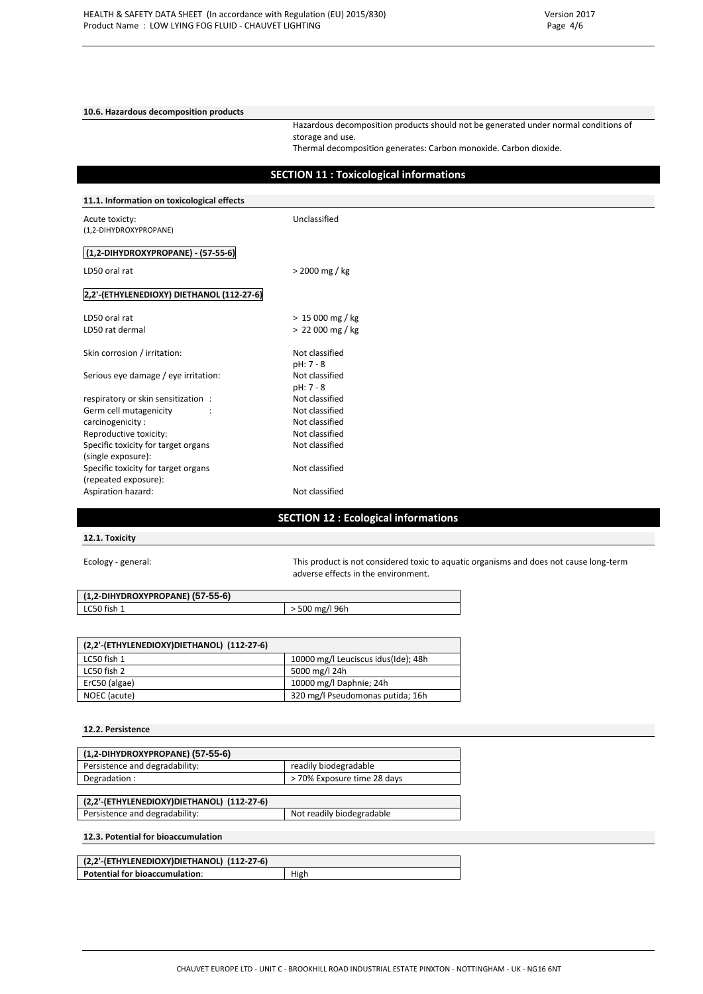**10.6. Hazardous decomposition products**

Hazardous decomposition products should not be generated under normal conditions of storage and use.

Thermal decomposition generates: Carbon monoxide. Carbon dioxide.

|                                            | <b>SECTION 11: Toxicological informations</b> |
|--------------------------------------------|-----------------------------------------------|
| 11.1. Information on toxicological effects |                                               |
| Acute toxicty:<br>(1,2-DIHYDROXYPROPANE)   | Unclassified                                  |
| (1,2-DIHYDROXYPROPANE) - (57-55-6)         |                                               |
| LD50 oral rat                              | > 2000 mg / kg                                |
| 2,2'-(ETHYLENEDIOXY) DIETHANOL (112-27-6)  |                                               |
| LD50 oral rat                              | $> 15000$ mg / kg                             |
| LD50 rat dermal                            | $> 22000$ mg / kg                             |
| Skin corrosion / irritation:               | Not classified<br>pH: 7 - 8                   |
| Serious eye damage / eye irritation:       | Not classified<br>$pH: 7 - 8$                 |
| respiratory or skin sensitization :        | Not classified                                |
| Germ cell mutagenicity                     | Not classified                                |
| carcinogenicity:                           | Not classified                                |
| Reproductive toxicity:                     | Not classified                                |
| Specific toxicity for target organs        | Not classified                                |
| (single exposure):                         |                                               |
| Specific toxicity for target organs        | Not classified                                |
| (repeated exposure):                       |                                               |
| Aspiration hazard:                         | Not classified                                |

## **SECTION 12 : Ecological informations**

### **12.1. Toxicity**

Ecology - general: This product is not considered toxic to aquatic organisms and does not cause long-term adverse effects in the environment.

| (1,2-DIHYDROXYPROPANE) (57-55-6) |                  |
|----------------------------------|------------------|
| LC50 fish 1                      | $>$ 500 mg/l 96h |

| (2,2'-(ETHYLENEDIOXY)DIETHANOL) (112-27-6) |                                     |
|--------------------------------------------|-------------------------------------|
| LC50 fish 1                                | 10000 mg/l Leuciscus idus(Ide); 48h |
| LC50 fish 2                                | 5000 mg/l 24h                       |
| ErC50 (algae)                              | 10000 mg/l Daphnie; 24h             |
| NOEC (acute)                               | 320 mg/l Pseudomonas putida; 16h    |

#### **12.2. Persistence**

| (1,2-DIHYDROXYPROPANE) (57-55-6)           |                             |
|--------------------------------------------|-----------------------------|
| Persistence and degradability:             | readily biodegradable       |
| Degradation:                               | > 70% Exposure time 28 days |
|                                            |                             |
| (2,2'-(ETHYLENEDIOXY)DIETHANOL) (112-27-6) |                             |

Persistence and degradability: Not readily biodegradable

#### **12.3. Potential for bioaccumulation**

| (2,2'-(ETHYLENEDIOXY)DIETHANOL) (112-27-6) |      |
|--------------------------------------------|------|
| <b>Potential for bioaccumulation:</b>      | High |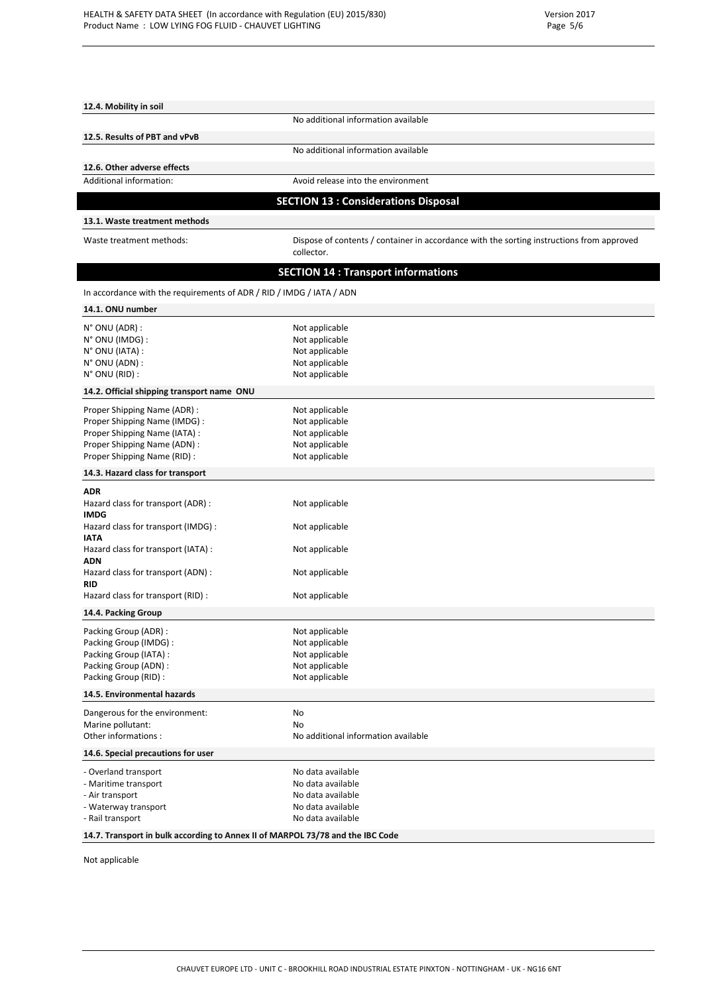**12.4. Mobility in soil**

| 12.5. Results of PBT and vPvB                                                  |                                                                                                         |
|--------------------------------------------------------------------------------|---------------------------------------------------------------------------------------------------------|
|                                                                                | No additional information available                                                                     |
| 12.6. Other adverse effects                                                    |                                                                                                         |
| Additional information:                                                        | Avoid release into the environment                                                                      |
|                                                                                | <b>SECTION 13 : Considerations Disposal</b>                                                             |
|                                                                                |                                                                                                         |
| 13.1. Waste treatment methods                                                  |                                                                                                         |
| Waste treatment methods:                                                       | Dispose of contents / container in accordance with the sorting instructions from approved<br>collector. |
|                                                                                | <b>SECTION 14 : Transport informations</b>                                                              |
| In accordance with the requirements of ADR / RID / IMDG / IATA / ADN           |                                                                                                         |
| 14.1. ONU number                                                               |                                                                                                         |
|                                                                                |                                                                                                         |
| $N^{\circ}$ ONU (ADR) :                                                        | Not applicable                                                                                          |
| $N^{\circ}$ ONU (IMDG) :<br>N° ONU (IATA) :                                    | Not applicable<br>Not applicable                                                                        |
| $N^{\circ}$ ONU (ADN) :                                                        | Not applicable                                                                                          |
| N° ONU (RID) :                                                                 | Not applicable                                                                                          |
| 14.2. Official shipping transport name ONU                                     |                                                                                                         |
|                                                                                |                                                                                                         |
| Proper Shipping Name (ADR) :<br>Proper Shipping Name (IMDG):                   | Not applicable<br>Not applicable                                                                        |
| Proper Shipping Name (IATA) :                                                  | Not applicable                                                                                          |
| Proper Shipping Name (ADN):                                                    | Not applicable                                                                                          |
| Proper Shipping Name (RID):                                                    | Not applicable                                                                                          |
| 14.3. Hazard class for transport                                               |                                                                                                         |
|                                                                                |                                                                                                         |
| <b>ADR</b><br>Hazard class for transport (ADR):<br><b>IMDG</b>                 | Not applicable                                                                                          |
| Hazard class for transport (IMDG) :<br><b>IATA</b>                             | Not applicable                                                                                          |
| Hazard class for transport (IATA) :<br><b>ADN</b>                              | Not applicable                                                                                          |
| Hazard class for transport (ADN) :<br><b>RID</b>                               | Not applicable                                                                                          |
| Hazard class for transport (RID) :                                             | Not applicable                                                                                          |
| 14.4. Packing Group                                                            |                                                                                                         |
| Packing Group (ADR):                                                           | Not applicable                                                                                          |
| Packing Group (IMDG) :                                                         | Not applicable                                                                                          |
| Packing Group (IATA) :                                                         | Not applicable                                                                                          |
| Packing Group (ADN) :                                                          | Not applicable                                                                                          |
| Packing Group (RID):                                                           | Not applicable                                                                                          |
| 14.5. Environmental hazards                                                    |                                                                                                         |
| Dangerous for the environment:                                                 | No                                                                                                      |
| Marine pollutant:                                                              | No                                                                                                      |
| Other informations:                                                            | No additional information available                                                                     |
| 14.6. Special precautions for user                                             |                                                                                                         |
| - Overland transport                                                           | No data available                                                                                       |
| - Maritime transport                                                           | No data available                                                                                       |
| - Air transport                                                                | No data available                                                                                       |
| - Waterway transport<br>- Rail transport                                       | No data available<br>No data available                                                                  |
|                                                                                |                                                                                                         |
| 14.7. Transport in bulk according to Annex II of MARPOL 73/78 and the IBC Code |                                                                                                         |

No additional information available

Not applicable